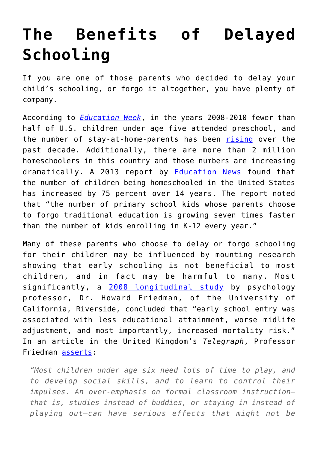## **[The Benefits of Delayed](https://intellectualtakeout.org/2017/04/the-benefits-of-delayed-schooling/) [Schooling](https://intellectualtakeout.org/2017/04/the-benefits-of-delayed-schooling/)**

If you are one of those parents who decided to delay your child's schooling, or forgo it altogether, you have plenty of company.

According to *[Education Week](http://blogs.edweek.org/edweek/early_years/2012/07/report_fewer_than_half_of_us_children_attend_preschool.html)*, in the years 2008-2010 fewer than half of U.S. children under age five attended preschool, and the number of stay-at-home-parents has been [rising](http://www.pewsocialtrends.org/2014/04/08/after-decades-of-decline-a-rise-in-stay-at-home-mothers/) over the past decade. Additionally, there are more than 2 million homeschoolers in this country and those numbers are increasing dramatically. A 2013 report by [Education News](http://www.educationnews.org/parenting/number-of-homeschoolers-growing-nationwide/) found that the number of children being homeschooled in the United States has increased by 75 percent over 14 years. The report noted that "the number of primary school kids whose parents choose to forgo traditional education is growing seven times faster than the number of kids enrolling in K-12 every year."

Many of these parents who choose to delay or forgo schooling for their children may be influenced by mounting research showing that early schooling is not beneficial to most children, and in fact may be harmful to many. Most significantly, a [2008 longitudinal study](http://www.ncbi.nlm.nih.gov/pmc/articles/PMC2713445/) by psychology professor, Dr. Howard Friedman, of the University of California, Riverside, concluded that "early school entry was associated with less educational attainment, worse midlife adjustment, and most importantly, increased mortality risk." In an article in the United Kingdom's *Telegraph*, Professor Friedman [asserts:](http://www.telegraph.co.uk/education/educationnews/9266592/Bright-children-should-start-school-at-six-says-academic.html)

*"Most children under age six need lots of time to play, and to develop social skills, and to learn to control their impulses. An over-emphasis on formal classroom instruction– that is, studies instead of buddies, or staying in instead of playing out–can have serious effects that might not be*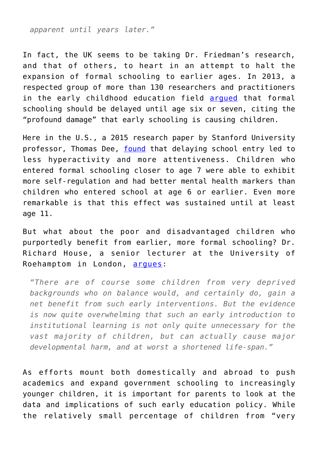*apparent until years later."*

In fact, the UK seems to be taking Dr. Friedman's research, and that of others, to heart in an attempt to halt the expansion of formal schooling to earlier ages. In 2013, a respected group of more than 130 researchers and practitioners in the early childhood education field [argued](http://www.telegraph.co.uk/education/educationnews/10302249/Start-schooling-later-than-age-five-say-experts.html) that formal schooling should be delayed until age six or seven, citing the "profound damage" that early schooling is causing children.

Here in the U.S., a 2015 research paper by Stanford University professor, Thomas Dee, [found](https://ed.stanford.edu/news/stanford-gse-research-finds-strong-evidence-mental-health-benefits-delaying-kindergarten) that delaying school entry led to less hyperactivity and more attentiveness. Children who entered formal schooling closer to age 7 were able to exhibit more self-regulation and had better mental health markers than children who entered school at age 6 or earlier. Even more remarkable is that this effect was sustained until at least age 11.

But what about the poor and disadvantaged children who purportedly benefit from earlier, more formal schooling? Dr. Richard House, a senior lecturer at the University of Roehamptom in London, [argues](http://www.telegraph.co.uk/education/educationnews/9266592/Bright-children-should-start-school-at-six-says-academic.html):

*"There are of course some children from very deprived backgrounds who on balance would, and certainly do, gain a net benefit from such early interventions. But the evidence is now quite overwhelming that such an early introduction to institutional learning is not only quite unnecessary for the vast majority of children, but can actually cause major developmental harm, and at worst a shortened life-span."*

As efforts mount both domestically and abroad to push academics and expand government schooling to increasingly younger children, it is important for parents to look at the data and implications of such early education policy. While the relatively small percentage of children from "very